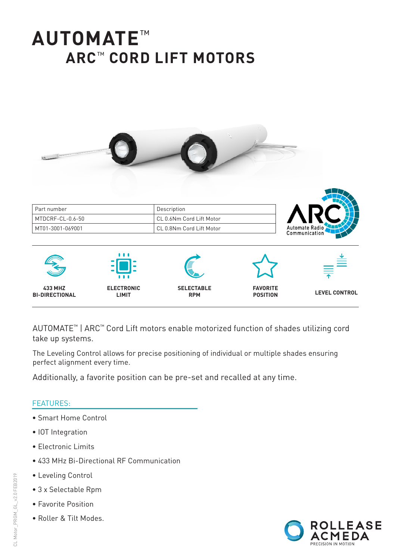# **AUTOMATE**™ **ARC**™ **CORD LIFT MOTORS**



AUTOMATE™ | ARC™ Cord Lift motors enable motorized function of shades utilizing cord take up systems.

The Leveling Control allows for precise positioning of individual or multiple shades ensuring perfect alignment every time.

Additionally, a favorite position can be pre-set and recalled at any time.

#### FEATURES:

- Smart Home Control
- IOT Integration
- Electronic Limits
- 433 MHz Bi-Directional RF Communication
- Leveling Control
- 3 x Selectable Rpm
- Favorite Position
- Roller & Tilt Modes.

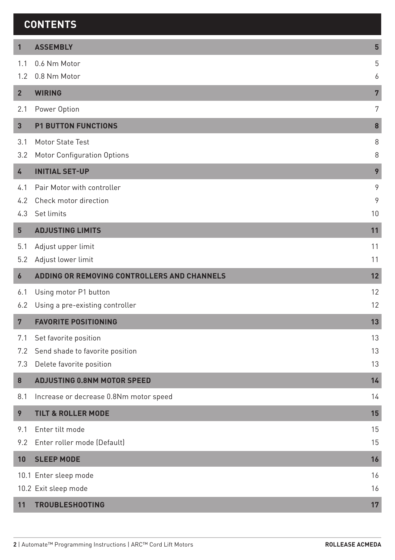#### **CONTENTS**

| $\mathbf{1}$   | <b>ASSEMBLY</b>                             | 5              |
|----------------|---------------------------------------------|----------------|
| 1.1            | 0.6 Nm Motor                                | 5              |
| 1.2            | 0.8 Nm Motor                                | 6              |
| $\overline{2}$ | <b>WIRING</b>                               | $\overline{7}$ |
| 2.1            | Power Option                                | 7              |
| 3              | <b>P1 BUTTON FUNCTIONS</b>                  | 8              |
| 3.1            | Motor State Test                            | 8              |
| 3.2            | Motor Configuration Options                 | 8              |
| 4              | <b>INITIAL SET-UP</b>                       | 9              |
| 4.1            | Pair Motor with controller                  | 9              |
| 4.2            | Check motor direction                       | 9              |
| 4.3            | Set limits                                  | 10             |
| 5              | <b>ADJUSTING LIMITS</b>                     | 11             |
| 5.1            | Adjust upper limit                          | 11             |
| 5.2            | Adjust lower limit                          | 11             |
| 6              | ADDING OR REMOVING CONTROLLERS AND CHANNELS | 12             |
| 6.1            | Using motor P1 button                       | 12             |
| 6.2            | Using a pre-existing controller             | 12             |
| $\overline{7}$ | <b>FAVORITE POSITIONING</b>                 | 13             |
| 7.1            | Set favorite position                       | 13             |
| 7.2            | Send shade to favorite position             | 13             |
| 7.3            | Delete favorite position                    | 13             |
| 8              | <b>ADJUSTING 0.8NM MOTOR SPEED</b>          | 14             |
| 8.1            | Increase or decrease 0.8Nm motor speed      | 14             |
| 9              | <b>TILT &amp; ROLLER MODE</b>               | 15             |
| 9.1            | Enter tilt mode                             | 15             |
| 9.2            | Enter roller mode (Default)                 | 15             |
| 10             | <b>SLEEP MODE</b>                           | 16             |
|                | 10.1 Enter sleep mode                       | 16             |
|                | 10.2 Exit sleep mode                        | 16             |
| 11             | <b>TROUBLESHOOTING</b>                      | 17             |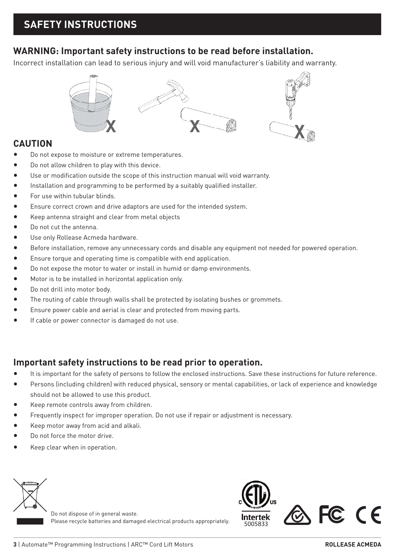#### **WARNING: Important safety instructions to be read before installation.**

Incorrect installation can lead to serious injury and will void manufacturer's liability and warranty.



#### **CAUTION**

- Do not expose to moisture or extreme temperatures.
- Do not allow children to play with this device.
- Use or modification outside the scope of this instruction manual will void warranty.
- Installation and programming to be performed by a suitably qualified installer.
- For use within tubular blinds.
- Ensure correct crown and drive adaptors are used for the intended system.
- Keep antenna straight and clear from metal objects
- Do not cut the antenna.
- Use only Rollease Acmeda hardware.
- Before installation, remove any unnecessary cords and disable any equipment not needed for powered operation.
- Ensure torque and operating time is compatible with end application.
- Do not expose the motor to water or install in humid or damp environments.
- Motor is to be installed in horizontal application only.
- Do not drill into motor body.
- The routing of cable through walls shall be protected by isolating bushes or grommets.
- Ensure power cable and aerial is clear and protected from moving parts.
- If cable or power connector is damaged do not use.

#### **Important safety instructions to be read prior to operation.**

- It is important for the safety of persons to follow the enclosed instructions. Save these instructions for future reference.
- Persons (including children) with reduced physical, sensory or mental capabilities, or lack of experience and knowledge should not be allowed to use this product.
- Keep remote controls away from children.
- Frequently inspect for improper operation. Do not use if repair or adjustment is necessary.
- Keep motor away from acid and alkali.
- Do not force the motor drive.
- Keep clear when in operation.



Do not dispose of in general waste. Please recycle batteries and damaged electrical products appropriately.

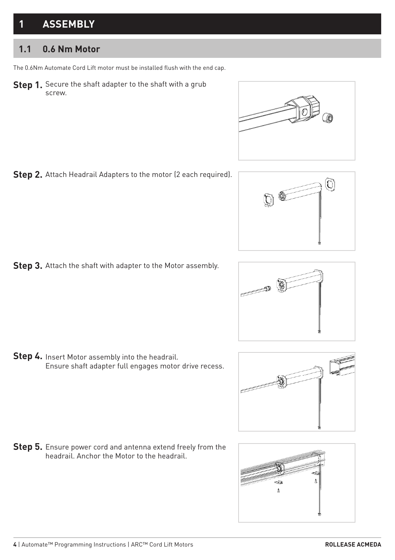# **1 ASSEMBLY**

#### **1.1 0.6 Nm Motor**

The 0.6Nm Automate Cord Lift motor must be installed flush with the end cap.

**Step 1.**  Secure the shaft adapter to the shaft with a grub screw.



**Step 3.** Attach the shaft with adapter to the Motor assembly.

**Step 4.** Insert Motor assembly into the headrail. Ensure shaft adapter full engages motor drive recess.

**Step 5.** Ensure power cord and antenna extend freely from the headrail. Anchor the Motor to the headrail.



Ō





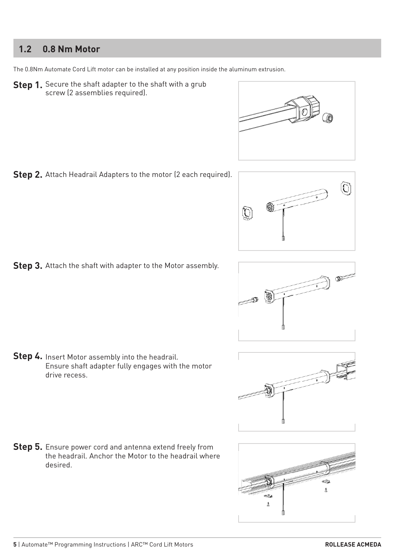#### **1.2 0.8 Nm Motor**

The 0.8Nm Automate Cord Lift motor can be installed at any position inside the aluminum extrusion.

**Step 1.** Secure the shaft adapter to the shaft with a grub screw (2 assemblies required).



**Step 2.** Attach Headrail Adapters to the motor (2 each required).











**Step 5.** Ensure power cord and antenna extend freely from the headrail. Anchor the Motor to the headrail where desired.

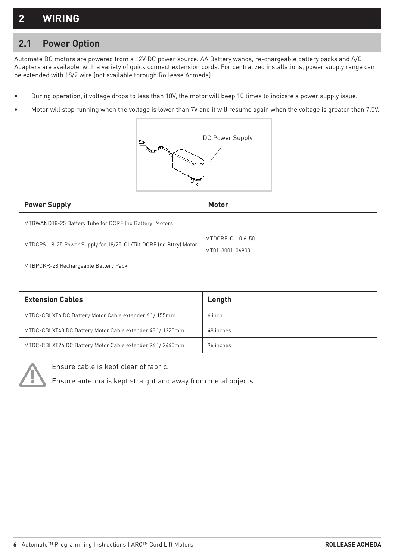## **2 WIRING**

#### **2.1 Power Option**

Automate DC motors are powered from a 12V DC power source. AA Battery wands, re-chargeable battery packs and A/C Adapters are available, with a variety of quick connect extension cords. For centralized installations, power supply range can be extended with 18/2 wire (not available through Rollease Acmeda).

- During operation, if voltage drops to less than 10V, the motor will beep 10 times to indicate a power supply issue.
- Motor will stop running when the voltage is lower than 7V and it will resume again when the voltage is greater than 7.5V.



| <b>Power Supply</b>                                               | Motor                                |
|-------------------------------------------------------------------|--------------------------------------|
| MTBWAND18-25 Battery Tube for DCRF (no Battery) Motors            |                                      |
| MTDCPS-18-25 Power Supply for 18/25-CL/Tilt DCRF (no Bttry) Motor | MTDCRF-CL-0.6-50<br>MT01-3001-069001 |
| MTBPCKR-28 Rechargeable Battery Pack                              |                                      |

| <b>Extension Cables</b>                                   | Length    |
|-----------------------------------------------------------|-----------|
| MTDC-CBLXT6 DC Battery Motor Cable extender 6" / 155mm    | 6 inch    |
| MTDC-CBLXT48 DC Battery Motor Cable extender 48" / 1220mm | 48 inches |
| MTDC-CBLXT96 DC Battery Motor Cable extender 96" / 2440mm | 96 inches |



Ensure cable is kept clear of fabric.

Ensure antenna is kept straight and away from metal objects.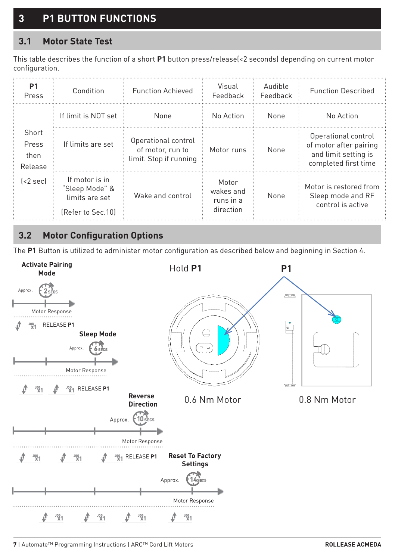# **3 P1 BUTTON FUNCTIONS**

#### **3.1 Motor State Test**

This table describes the function of a short **P1** button press/release(<2 seconds) depending on current motor configuration.

| P1<br>Press                       | Condition                                                               | <b>Function Achieved</b>                                          | Visual<br>Feedback                           | Audible<br>Feedback | <b>Function Described</b>                                                                     |
|-----------------------------------|-------------------------------------------------------------------------|-------------------------------------------------------------------|----------------------------------------------|---------------------|-----------------------------------------------------------------------------------------------|
|                                   | If limit is NOT set                                                     | None                                                              | No Action                                    | None                | No Action                                                                                     |
| Short<br>Press<br>then<br>Release | If limits are set                                                       | Operational control<br>of motor, run to<br>limit. Stop if running | Motor runs                                   | None                | Operational control<br>of motor after pairing<br>and limit setting is<br>completed first time |
| $\left[ < 2 \text{ sec} \right]$  | If motor is in<br>"Sleep Mode" &<br>limits are set<br>[Refer to Sec.10] | Wake and control                                                  | Motor<br>wakes and<br>runs in a<br>direction | None                | Motor is restored from<br>Sleep mode and RF<br>control is active                              |

#### **3.2 Motor Configuration Options**

The **P1** Button is utilized to administer motor configuration as described below and beginning in Section 4.



**7** | Automate™ Programming Instructions | ARC™ Cord Lift Motors **ROLLEASE ACMEDA**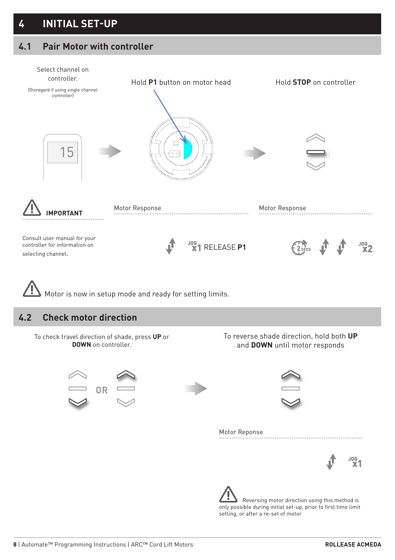#### **4.1 Pair Motor with controller**

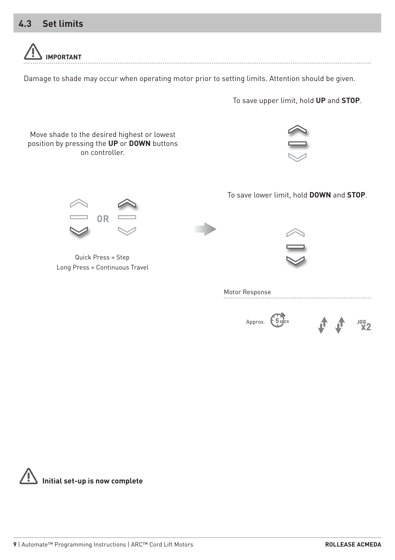#### **4.3 Set limits**



Damage to shade may occur when operating motor prior to setting limits. Attention should be given.

To save upper limit, hold **UP** and **STOP**.



Motor Response

企  $306$ <br> $X2$ Approx. *5* **SECS** 

**Initial set-up is now complete**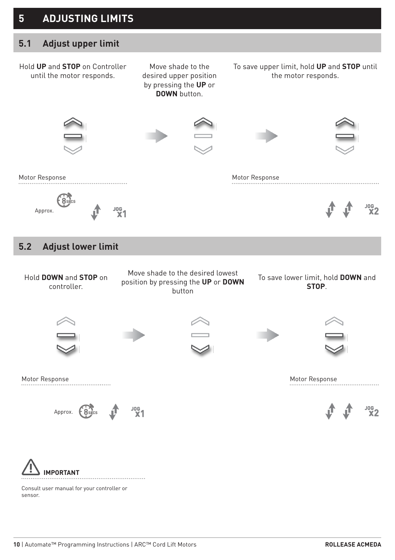#### **5 ADJUSTING LIMITS**

#### **5.1 Adjust upper limit**



Consult user manual for your controller or sensor.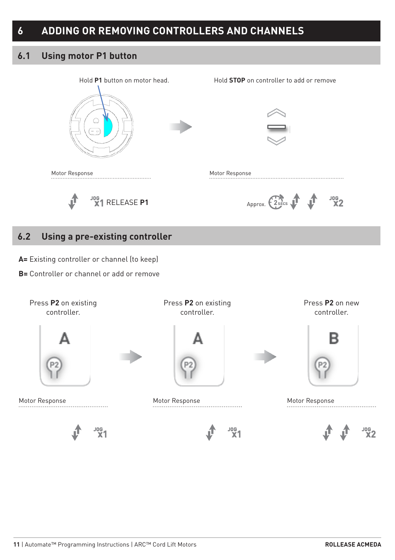#### **6.1 Using motor P1 button**



#### **6.2 Using a pre-existing controller**

**A=** Existing controller or channel (to keep)

**B=** Controller or channel or add or remove

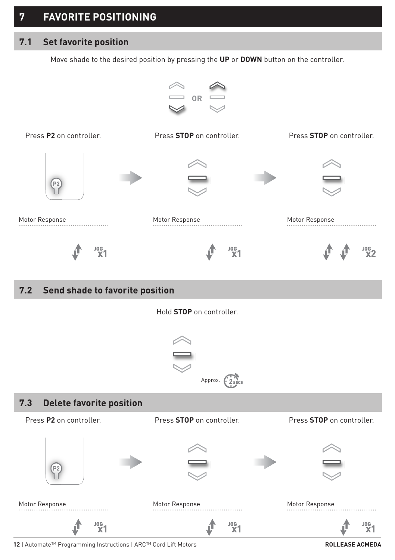## **7 FAVORITE POSITIONING**

#### **7.1 Set favorite position**

Move shade to the desired position by pressing the **UP** or **DOWN** button on the controller.



#### **7.2 Send shade to favorite position**

Hold **STOP** on controller.





**12** | Automate™ Programming Instructions | ARC™ Cord Lift Motors **ROLLEASE ACMEDA**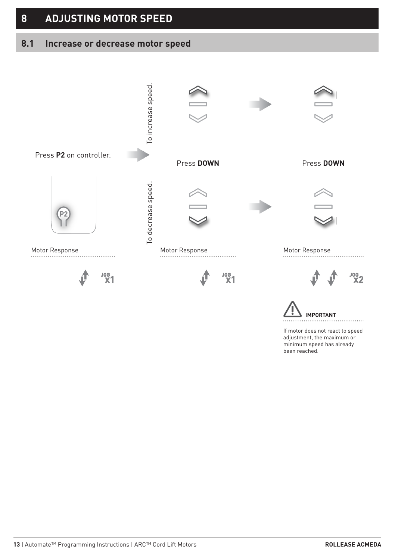# **8 ADJUSTING MOTOR SPEED**

#### **8.1 Increase or decrease motor speed**



If motor does not react to speed adjustment, the maximum or minimum speed has already been reached.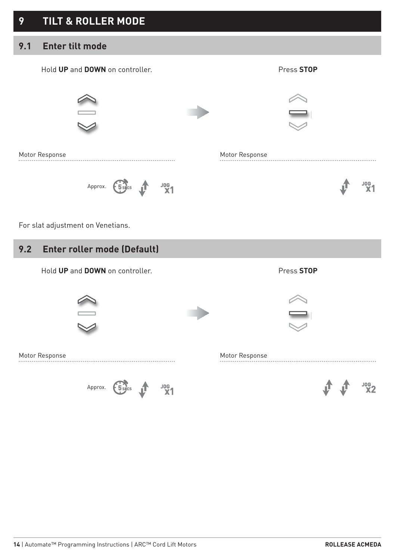#### **9.1 Enter tilt mode**



For slat adjustment on Venetians.

#### **9.2 Enter roller mode (Default)**





Motor Response Motor Response Motor Response

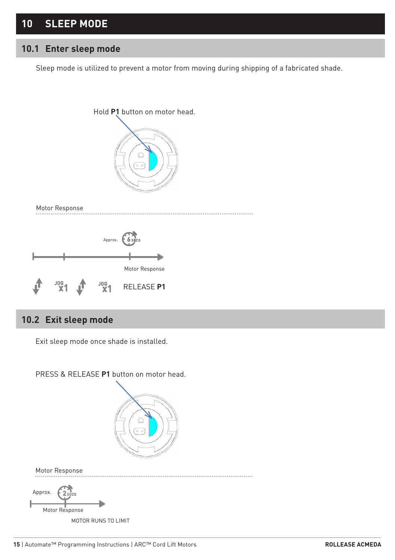## **10 SLEEP MODE**

#### **10.1 Enter sleep mode**

Sleep mode is utilized to prevent a motor from moving during shipping of a fabricated shade.



#### **10.2 Exit sleep mode**

Exit sleep mode once shade is installed.